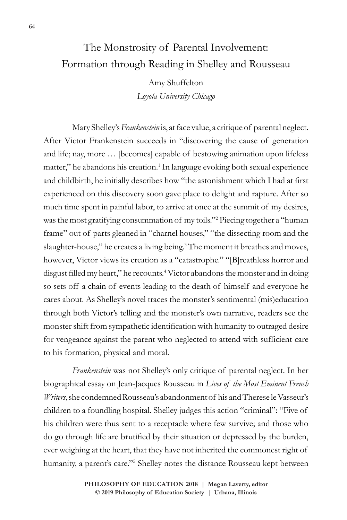# The Monstrosity of Parental Involvement: Formation through Reading in Shelley and Rousseau

Amy Shuffelton *Loyola University Chicago*

Mary Shelley's *Frankenstein* is, at face value, a critique of parental neglect. After Victor Frankenstein succeeds in "discovering the cause of generation and life; nay, more … [becomes] capable of bestowing animation upon lifeless matter," he abandons his creation.<sup>1</sup> In language evoking both sexual experience and childbirth, he initially describes how "the astonishment which I had at first experienced on this discovery soon gave place to delight and rapture. After so much time spent in painful labor, to arrive at once at the summit of my desires, was the most gratifying consummation of my toils."2 Piecing together a "human frame" out of parts gleaned in "charnel houses," "the dissecting room and the slaughter-house," he creates a living being.<sup>3</sup> The moment it breathes and moves, however, Victor views its creation as a "catastrophe." "[B]reathless horror and disgust filled my heart," he recounts.<sup>4</sup> Victor abandons the monster and in doing so sets off a chain of events leading to the death of himself and everyone he cares about. As Shelley's novel traces the monster's sentimental (mis)education through both Victor's telling and the monster's own narrative, readers see the monster shift from sympathetic identification with humanity to outraged desire for vengeance against the parent who neglected to attend with sufficient care to his formation, physical and moral.

*Frankenstein* was not Shelley's only critique of parental neglect. In her biographical essay on Jean-Jacques Rousseau in *Lives of the Most Eminent French Writers*, she condemned Rousseau's abandonment of his and Therese le Vasseur's children to a foundling hospital. Shelley judges this action "criminal": "Five of his children were thus sent to a receptacle where few survive; and those who do go through life are brutified by their situation or depressed by the burden, ever weighing at the heart, that they have not inherited the commonest right of humanity, a parent's care."5 Shelley notes the distance Rousseau kept between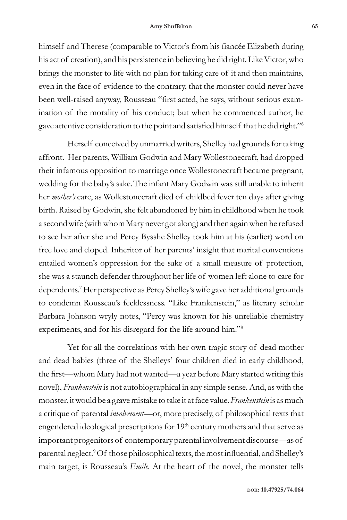#### **Amy Shuffelton 65**

himself and Therese (comparable to Victor's from his fiancée Elizabeth during his act of creation), and his persistence in believing he did right. Like Victor, who brings the monster to life with no plan for taking care of it and then maintains, even in the face of evidence to the contrary, that the monster could never have been well-raised anyway, Rousseau "first acted, he says, without serious examination of the morality of his conduct; but when he commenced author, he gave attentive consideration to the point and satisfied himself that he did right."<sup>6</sup>

Herself conceived by unmarried writers, Shelley had grounds for taking affront. Her parents, William Godwin and Mary Wollestonecraft, had dropped their infamous opposition to marriage once Wollestonecraft became pregnant, wedding for the baby's sake.The infant Mary Godwin was still unable to inherit her *mother's* care, as Wollestonecraft died of childbed fever ten days after giving birth. Raised by Godwin, she felt abandoned by him in childhood when he took a second wife (with whom Mary never got along) and then again when he refused to see her after she and Percy Bysshe Shelley took him at his (earlier) word on free love and eloped. Inheritor of her parents' insight that marital conventions entailed women's oppression for the sake of a small measure of protection, she was a staunch defender throughout her life of women left alone to care for dependents.7 Her perspective as Percy Shelley's wife gave her additional grounds to condemn Rousseau's fecklessness. "Like Frankenstein," as literary scholar Barbara Johnson wryly notes, "Percy was known for his unreliable chemistry experiments, and for his disregard for the life around him."8

Yet for all the correlations with her own tragic story of dead mother and dead babies (three of the Shelleys' four children died in early childhood, the first—whom Mary had not wanted—a year before Mary started writing this novel), *Frankenstein* is not autobiographical in any simple sense. And, as with the monster, it would be a grave mistake to take it at face value. *Frankenstein* is as much a critique of parental *involvement*—or, more precisely, of philosophical texts that engendered ideological prescriptions for 19<sup>th</sup> century mothers and that serve as important progenitors of contemporary parental involvement discourse—as of parental neglect.9 Of those philosophical texts, the most influential, and Shelley's main target, is Rousseau's *Emile*. At the heart of the novel, the monster tells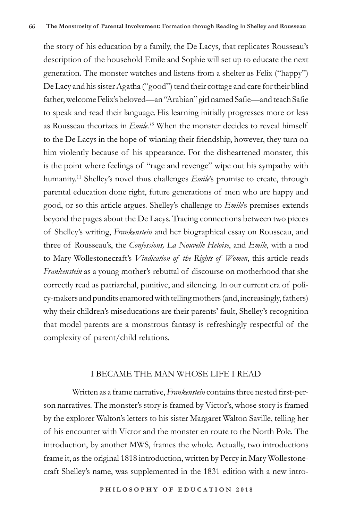the story of his education by a family, the De Lacys, that replicates Rousseau's description of the household Emile and Sophie will set up to educate the next generation. The monster watches and listens from a shelter as Felix ("happy") De Lacy and his sister Agatha ("good") tend their cottage and care for their blind father, welcome Felix's beloved—an "Arabian" girl named Safie—and teach Safie to speak and read their language. His learning initially progresses more or less as Rousseau theorizes in *Emile.10* When the monster decides to reveal himself to the De Lacys in the hope of winning their friendship, however, they turn on him violently because of his appearance. For the disheartened monster, this is the point where feelings of "rage and revenge" wipe out his sympathy with humanity.11 Shelley's novel thus challenges *Emile*'s promise to create, through parental education done right, future generations of men who are happy and good, or so this article argues. Shelley's challenge to *Emile*'s premises extends beyond the pages about the De Lacys. Tracing connections between two pieces of Shelley's writing, *Frankenstein* and her biographical essay on Rousseau, and three of Rousseau's, the *Confessions, La Nouvelle Heloise*, and *Emile*, with a nod to Mary Wollestonecraft's *Vindication of the Rights of Women*, this article reads *Frankenstein* as a young mother's rebuttal of discourse on motherhood that she correctly read as patriarchal, punitive, and silencing. In our current era of policy-makers and pundits enamored with telling mothers (and, increasingly, fathers) why their children's miseducations are their parents' fault, Shelley's recognition that model parents are a monstrous fantasy is refreshingly respectful of the complexity of parent/child relations.

## I BECAME THE MAN WHOSE LIFE I READ

Written as a frame narrative, *Frankenstein* contains three nested first-person narratives. The monster's story is framed by Victor's, whose story is framed by the explorer Walton's letters to his sister Margaret Walton Saville, telling her of his encounter with Victor and the monster en route to the North Pole. The introduction, by another MWS, frames the whole. Actually, two introductions frame it, as the original 1818 introduction, written by Percy in Mary Wollestonecraft Shelley's name, was supplemented in the 1831 edition with a new intro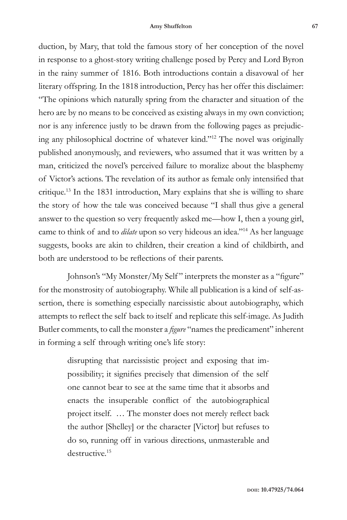duction, by Mary, that told the famous story of her conception of the novel in response to a ghost-story writing challenge posed by Percy and Lord Byron in the rainy summer of 1816. Both introductions contain a disavowal of her literary offspring. In the 1818 introduction, Percy has her offer this disclaimer: "The opinions which naturally spring from the character and situation of the hero are by no means to be conceived as existing always in my own conviction; nor is any inference justly to be drawn from the following pages as prejudicing any philosophical doctrine of whatever kind."12 The novel was originally published anonymously, and reviewers, who assumed that it was written by a man, criticized the novel's perceived failure to moralize about the blasphemy of Victor's actions. The revelation of its author as female only intensified that critique.13 In the 1831 introduction, Mary explains that she is willing to share the story of how the tale was conceived because "I shall thus give a general answer to the question so very frequently asked me—how I, then a young girl, came to think of and to *dilate* upon so very hideous an idea."14 As her language suggests, books are akin to children, their creation a kind of childbirth, and both are understood to be reflections of their parents.

Johnson's "My Monster/My Self" interprets the monster as a "figure" for the monstrosity of autobiography. While all publication is a kind of self-assertion, there is something especially narcissistic about autobiography, which attempts to reflect the self back to itself and replicate this self-image. As Judith Butler comments, to call the monster a *figure* "names the predicament" inherent in forming a self through writing one's life story:

> disrupting that narcissistic project and exposing that impossibility; it signifies precisely that dimension of the self one cannot bear to see at the same time that it absorbs and enacts the insuperable conflict of the autobiographical project itself. … The monster does not merely reflect back the author [Shelley] or the character [Victor] but refuses to do so, running off in various directions, unmasterable and destructive.<sup>15</sup>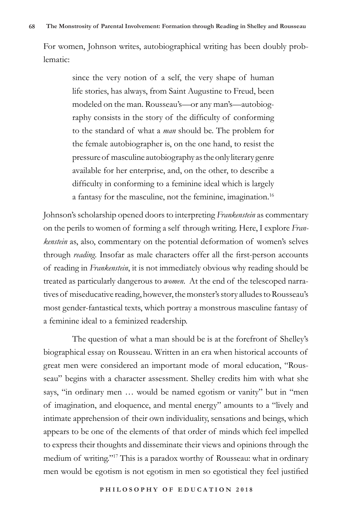For women, Johnson writes, autobiographical writing has been doubly problematic:

> since the very notion of a self, the very shape of human life stories, has always, from Saint Augustine to Freud, been modeled on the man. Rousseau's—or any man's—autobiography consists in the story of the difficulty of conforming to the standard of what a *man* should be. The problem for the female autobiographer is, on the one hand, to resist the pressure of masculine autobiography as the only literary genre available for her enterprise, and, on the other, to describe a difficulty in conforming to a feminine ideal which is largely a fantasy for the masculine, not the feminine, imagination.<sup>16</sup>

Johnson's scholarship opened doors to interpreting *Frankenstein* as commentary on the perils to women of forming a self through writing. Here, I explore *Frankenstein* as, also, commentary on the potential deformation of women's selves through *reading.* Insofar as male characters offer all the first-person accounts of reading in *Frankenstein*, it is not immediately obvious why reading should be treated as particularly dangerous to *women*. At the end of the telescoped narratives of miseducative reading, however, the monster's story alludes to Rousseau's most gender-fantastical texts, which portray a monstrous masculine fantasy of a feminine ideal to a feminized readership.

The question of what a man should be is at the forefront of Shelley's biographical essay on Rousseau. Written in an era when historical accounts of great men were considered an important mode of moral education, "Rousseau" begins with a character assessment. Shelley credits him with what she says, "in ordinary men … would be named egotism or vanity" but in "men of imagination, and eloquence, and mental energy" amounts to a "lively and intimate apprehension of their own individuality, sensations and beings, which appears to be one of the elements of that order of minds which feel impelled to express their thoughts and disseminate their views and opinions through the medium of writing."17 This is a paradox worthy of Rousseau: what in ordinary men would be egotism is not egotism in men so egotistical they feel justified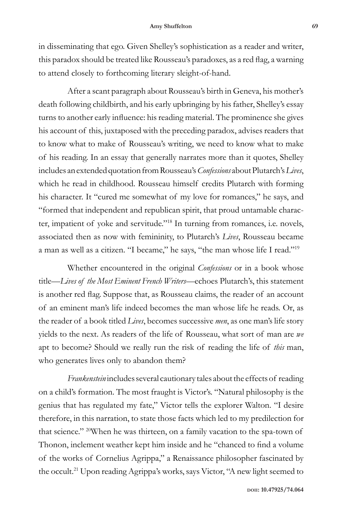in disseminating that ego. Given Shelley's sophistication as a reader and writer, this paradox should be treated like Rousseau's paradoxes, as a red flag, a warning to attend closely to forthcoming literary sleight-of-hand.

After a scant paragraph about Rousseau's birth in Geneva, his mother's death following childbirth, and his early upbringing by his father, Shelley's essay turns to another early influence: his reading material. The prominence she gives his account of this, juxtaposed with the preceding paradox, advises readers that to know what to make of Rousseau's writing, we need to know what to make of his reading. In an essay that generally narrates more than it quotes, Shelley includes an extended quotation from Rousseau's *Confessions* about Plutarch's *Lives*, which he read in childhood. Rousseau himself credits Plutarch with forming his character. It "cured me somewhat of my love for romances," he says, and "formed that independent and republican spirit, that proud untamable character, impatient of yoke and servitude."18 In turning from romances, i.e. novels, associated then as now with femininity, to Plutarch's *Lives*, Rousseau became a man as well as a citizen. "I became," he says, "the man whose life I read."<sup>19</sup>

Whether encountered in the original *Confessions* or in a book whose title—*Lives of the Most Eminent French Writers—*echoes Plutarch's, this statement is another red flag. Suppose that, as Rousseau claims, the reader of an account of an eminent man's life indeed becomes the man whose life he reads. Or, as the reader of a book titled *Lives*, becomes successive *men*, as one man's life story yields to the next. As readers of the life of Rousseau, what sort of man are *we* apt to become? Should we really run the risk of reading the life of *this* man, who generates lives only to abandon them?

*Frankenstein* includes several cautionary tales about the effects of reading on a child's formation. The most fraught is Victor's. "Natural philosophy is the genius that has regulated my fate," Victor tells the explorer Walton. "I desire therefore, in this narration, to state those facts which led to my predilection for that science." 20When he was thirteen, on a family vacation to the spa-town of Thonon, inclement weather kept him inside and he "chanced to find a volume of the works of Cornelius Agrippa," a Renaissance philosopher fascinated by the occult.21 Upon reading Agrippa's works, says Victor, "A new light seemed to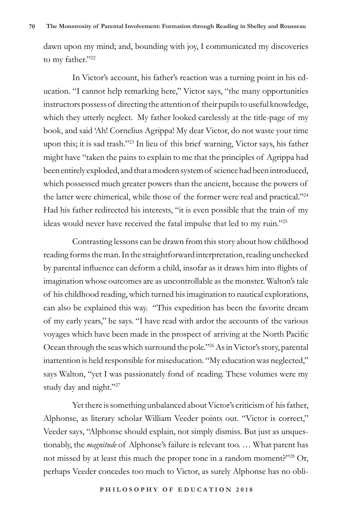dawn upon my mind; and, bounding with joy, I communicated my discoveries to my father."22

In Victor's account, his father's reaction was a turning point in his education. "I cannot help remarking here," Victor says, "the many opportunities instructors possess of directing the attention of their pupils to useful knowledge, which they utterly neglect. My father looked carelessly at the title-page of my book, and said 'Ah! Cornelius Agrippa! My dear Victor, do not waste your time upon this; it is sad trash."23 In lieu of this brief warning, Victor says, his father might have "taken the pains to explain to me that the principles of Agrippa had been entirely exploded, and that a modern system of science had been introduced, which possessed much greater powers than the ancient, because the powers of the latter were chimerical, while those of the former were real and practical."24 Had his father redirected his interests, "it is even possible that the train of my ideas would never have received the fatal impulse that led to my ruin."25

Contrasting lessons can be drawn from this story about how childhood reading forms the man. In the straightforward interpretation, reading unchecked by parental influence can deform a child, insofar as it draws him into flights of imagination whose outcomes are as uncontrollable as the monster. Walton's tale of his childhood reading, which turned his imagination to nautical explorations, can also be explained this way. "This expedition has been the favorite dream of my early years," he says. "I have read with ardor the accounts of the various voyages which have been made in the prospect of arriving at the North Pacific Ocean through the seas which surround the pole."<sup>26</sup> As in Victor's story, parental inattention is held responsible for miseducation. "My education was neglected," says Walton, "yet I was passionately fond of reading. These volumes were my study day and night."27

Yet there is something unbalanced about Victor's criticism of his father, Alphonse, as literary scholar William Veeder points out. "Victor is correct," Veeder says, "Alphonse should explain, not simply dismiss. But just as unquestionably, the *magnitude* of Alphonse's failure is relevant too. … What parent has not missed by at least this much the proper tone in a random moment?"28 Or, perhaps Veeder concedes too much to Victor, as surely Alphonse has no obli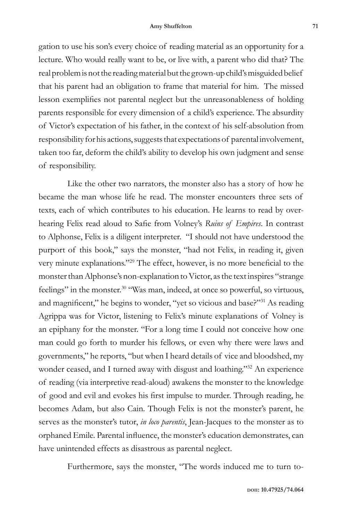gation to use his son's every choice of reading material as an opportunity for a lecture. Who would really want to be, or live with, a parent who did that? The real problem is not the reading material but the grown-up child's misguided belief that his parent had an obligation to frame that material for him. The missed lesson exemplifies not parental neglect but the unreasonableness of holding parents responsible for every dimension of a child's experience. The absurdity of Victor's expectation of his father, in the context of his self-absolution from responsibility for his actions, suggests that expectations of parental involvement, taken too far, deform the child's ability to develop his own judgment and sense of responsibility.

Like the other two narrators, the monster also has a story of how he became the man whose life he read. The monster encounters three sets of texts, each of which contributes to his education. He learns to read by overhearing Felix read aloud to Safie from Volney's *Ruins of Empires*. In contrast to Alphonse, Felix is a diligent interpreter. "I should not have understood the purport of this book," says the monster, "had not Felix, in reading it, given very minute explanations."29 The effect, however, is no more beneficial to the monster than Alphonse's non-explanation to Victor, as the text inspires "strange feelings" in the monster.<sup>30</sup> "Was man, indeed, at once so powerful, so virtuous, and magnificent," he begins to wonder, "yet so vicious and base?"31 As reading Agrippa was for Victor, listening to Felix's minute explanations of Volney is an epiphany for the monster. "For a long time I could not conceive how one man could go forth to murder his fellows, or even why there were laws and governments," he reports, "but when I heard details of vice and bloodshed, my wonder ceased, and I turned away with disgust and loathing."<sup>32</sup> An experience of reading (via interpretive read-aloud) awakens the monster to the knowledge of good and evil and evokes his first impulse to murder. Through reading, he becomes Adam, but also Cain. Though Felix is not the monster's parent, he serves as the monster's tutor, *in loco parentis*, Jean-Jacques to the monster as to orphaned Emile. Parental influence, the monster's education demonstrates, can have unintended effects as disastrous as parental neglect.

Furthermore, says the monster, "The words induced me to turn to-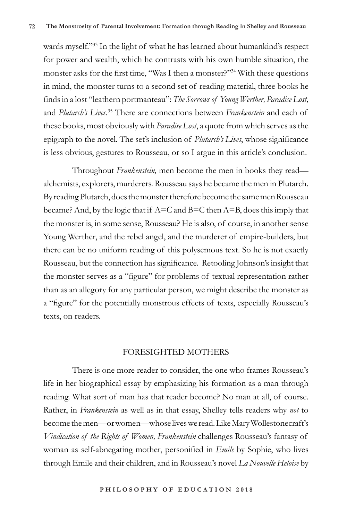wards myself."33 In the light of what he has learned about humankind's respect for power and wealth, which he contrasts with his own humble situation, the monster asks for the first time, "Was I then a monster?"<sup>34</sup> With these questions in mind, the monster turns to a second set of reading material, three books he finds in a lost "leathern portmanteau": *The Sorrows of Young Werther, Paradise Lost,* and *Plutarch's Lives*. 35 There are connections between *Frankenstein* and each of these books, most obviously with *Paradise Lost*, a quote from which serves as the epigraph to the novel. The set's inclusion of *Plutarch's Lives*, whose significance is less obvious, gestures to Rousseau, or so I argue in this article's conclusion.

Throughout *Frankenstein,* men become the men in books they read alchemists, explorers, murderers. Rousseau says he became the men in Plutarch. By reading Plutarch, does the monster therefore become the same men Rousseau became? And, by the logic that if  $A=C$  and  $B=C$  then  $A=B$ , does this imply that the monster is, in some sense, Rousseau? He is also, of course, in another sense Young Werther, and the rebel angel, and the murderer of empire-builders, but there can be no uniform reading of this polysemous text. So he is not exactly Rousseau, but the connection has significance. Retooling Johnson's insight that the monster serves as a "figure" for problems of textual representation rather than as an allegory for any particular person, we might describe the monster as a "figure" for the potentially monstrous effects of texts, especially Rousseau's texts, on readers.

### FORESIGHTED MOTHERS

There is one more reader to consider, the one who frames Rousseau's life in her biographical essay by emphasizing his formation as a man through reading. What sort of man has that reader become? No man at all, of course. Rather, in *Frankenstein* as well as in that essay, Shelley tells readers why *not* to become the men—or women—whose lives we read. Like Mary Wollestonecraft's *Vindication of the Rights of Women, Frankenstein* challenges Rousseau's fantasy of woman as self-abnegating mother, personified in *Emile* by Sophie, who lives through Emile and their children, and in Rousseau's novel *La Nouvelle Heloise* by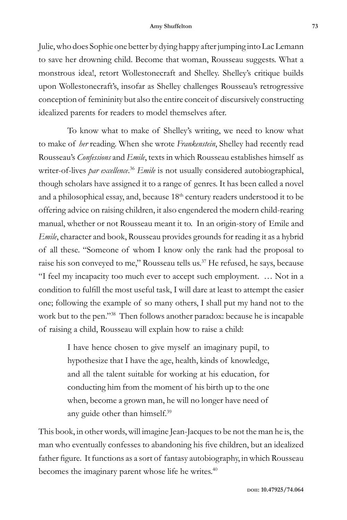Julie, who does Sophie one better by dying happy after jumping into Lac Lemann to save her drowning child. Become that woman, Rousseau suggests. What a monstrous idea!, retort Wollestonecraft and Shelley. Shelley's critique builds upon Wollestonecraft's, insofar as Shelley challenges Rousseau's retrogressive conception of femininity but also the entire conceit of discursively constructing idealized parents for readers to model themselves after.

To know what to make of Shelley's writing, we need to know what to make of *her* reading. When she wrote *Frankenstein*, Shelley had recently read Rousseau's *Confessions* and *Emile*, texts in which Rousseau establishes himself as writer-of-lives *par excellence*. <sup>36</sup> *Emile* is not usually considered autobiographical, though scholars have assigned it to a range of genres. It has been called a novel and a philosophical essay, and, because 18<sup>th</sup> century readers understood it to be offering advice on raising children, it also engendered the modern child-rearing manual, whether or not Rousseau meant it to. In an origin-story of Emile and *Emile*, character and book, Rousseau provides grounds for reading it as a hybrid of all these. "Someone of whom I know only the rank had the proposal to raise his son conveyed to me," Rousseau tells us.<sup>37</sup> He refused, he says, because "I feel my incapacity too much ever to accept such employment. … Not in a condition to fulfill the most useful task, I will dare at least to attempt the easier one; following the example of so many others, I shall put my hand not to the work but to the pen."38 Then follows another paradox: because he is incapable of raising a child, Rousseau will explain how to raise a child:

> I have hence chosen to give myself an imaginary pupil, to hypothesize that I have the age, health, kinds of knowledge, and all the talent suitable for working at his education, for conducting him from the moment of his birth up to the one when, become a grown man, he will no longer have need of any guide other than himself.<sup>39</sup>

This book, in other words, will imagine Jean-Jacques to be not the man he is, the man who eventually confesses to abandoning his five children, but an idealized father figure. It functions as a sort of fantasy autobiography, in which Rousseau becomes the imaginary parent whose life he writes.<sup>40</sup>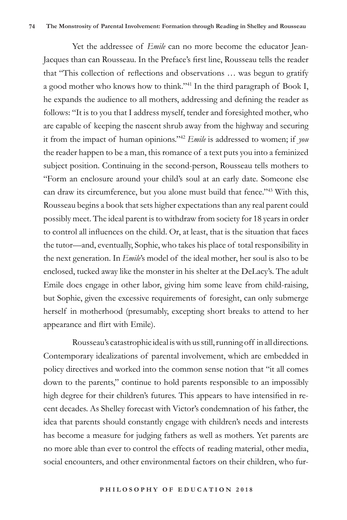Yet the addressee of *Emile* can no more become the educator Jean-Jacques than can Rousseau. In the Preface's first line, Rousseau tells the reader that "This collection of reflections and observations … was begun to gratify a good mother who knows how to think."41 In the third paragraph of Book I, he expands the audience to all mothers, addressing and defining the reader as follows: "It is to you that I address myself, tender and foresighted mother, who are capable of keeping the nascent shrub away from the highway and securing it from the impact of human opinions."42 *Emile* is addressed to women; if *you* the reader happen to be a man, this romance of a text puts you into a feminized subject position. Continuing in the second-person, Rousseau tells mothers to "Form an enclosure around your child's soul at an early date. Someone else can draw its circumference, but you alone must build that fence."<sup>43</sup> With this, Rousseau begins a book that sets higher expectations than any real parent could possibly meet. The ideal parent is to withdraw from society for 18 years in order to control all influences on the child. Or, at least, that is the situation that faces the tutor—and, eventually, Sophie, who takes his place of total responsibility in the next generation. In *Emile*'s model of the ideal mother, her soul is also to be enclosed, tucked away like the monster in his shelter at the DeLacy's. The adult Emile does engage in other labor, giving him some leave from child-raising, but Sophie, given the excessive requirements of foresight, can only submerge herself in motherhood (presumably, excepting short breaks to attend to her appearance and flirt with Emile).

Rousseau's catastrophic ideal is with us still, running off in all directions. Contemporary idealizations of parental involvement, which are embedded in policy directives and worked into the common sense notion that "it all comes down to the parents," continue to hold parents responsible to an impossibly high degree for their children's futures. This appears to have intensified in recent decades. As Shelley forecast with Victor's condemnation of his father, the idea that parents should constantly engage with children's needs and interests has become a measure for judging fathers as well as mothers. Yet parents are no more able than ever to control the effects of reading material, other media, social encounters, and other environmental factors on their children, who fur-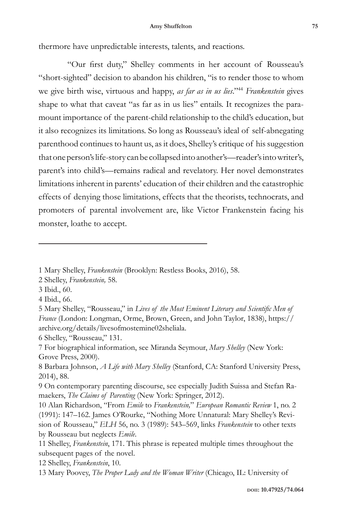#### **Amy Shuffelton 75**

thermore have unpredictable interests, talents, and reactions.

"Our first duty," Shelley comments in her account of Rousseau's "short-sighted" decision to abandon his children, "is to render those to whom we give birth wise, virtuous and happy, *as far as in us lies*."44 *Frankenstein* gives shape to what that caveat "as far as in us lies" entails. It recognizes the paramount importance of the parent-child relationship to the child's education, but it also recognizes its limitations. So long as Rousseau's ideal of self-abnegating parenthood continues to haunt us, as it does, Shelley's critique of his suggestion that one person's life-story can be collapsed into another's—reader's into writer's, parent's into child's—remains radical and revelatory. Her novel demonstrates limitations inherent in parents' education of their children and the catastrophic effects of denying those limitations, effects that the theorists, technocrats, and promoters of parental involvement are, like Victor Frankenstein facing his monster, loathe to accept.

3 Ibid., 60.

 <sup>1</sup> Mary Shelley, *Frankenstein* (Brooklyn: Restless Books, 2016), 58.

<sup>2</sup> Shelley, *Frankenstein,* 58.

<sup>4</sup> Ibid., 66.

<sup>5</sup> Mary Shelley, "Rousseau," in *Lives of the Most Eminent Literary and Scientific Men of France* (London: Longman, Orme, Brown, Green, and John Taylor, 1838), https:// archive.org/details/livesofmostemine02sheliala.

<sup>6</sup> Shelley, "Rousseau," 131.

<sup>7</sup> For biographical information, see Miranda Seymour, *Mary Shelley* (New York: Grove Press, 2000).

<sup>8</sup> Barbara Johnson, *A Life with Mary Shelley* (Stanford, CA: Stanford University Press, 2014), 88.

<sup>9</sup> On contemporary parenting discourse, see especially Judith Suissa and Stefan Ramaekers, *The Claims of Parenting* (New York: Springer, 2012).

<sup>10</sup> Alan Richardson, "From *Emile* to *Frankenstein,*" *European Romantic Review* 1, no. 2 (1991): 147–162. James O'Rourke, "Nothing More Unnatural: Mary Shelley's Revision of Rousseau," *ELH* 56, no. 3 (1989): 543–569, links *Frankenstein* to other texts by Rousseau but neglects *Emile*.

<sup>11</sup> Shelley, *Frankenstein*, 171. This phrase is repeated multiple times throughout the subsequent pages of the novel.

<sup>12</sup> Shelley, *Frankenstein*, 10.

<sup>13</sup> Mary Poovey, *The Proper Lady and the Woman Writer* (Chicago, IL: University of